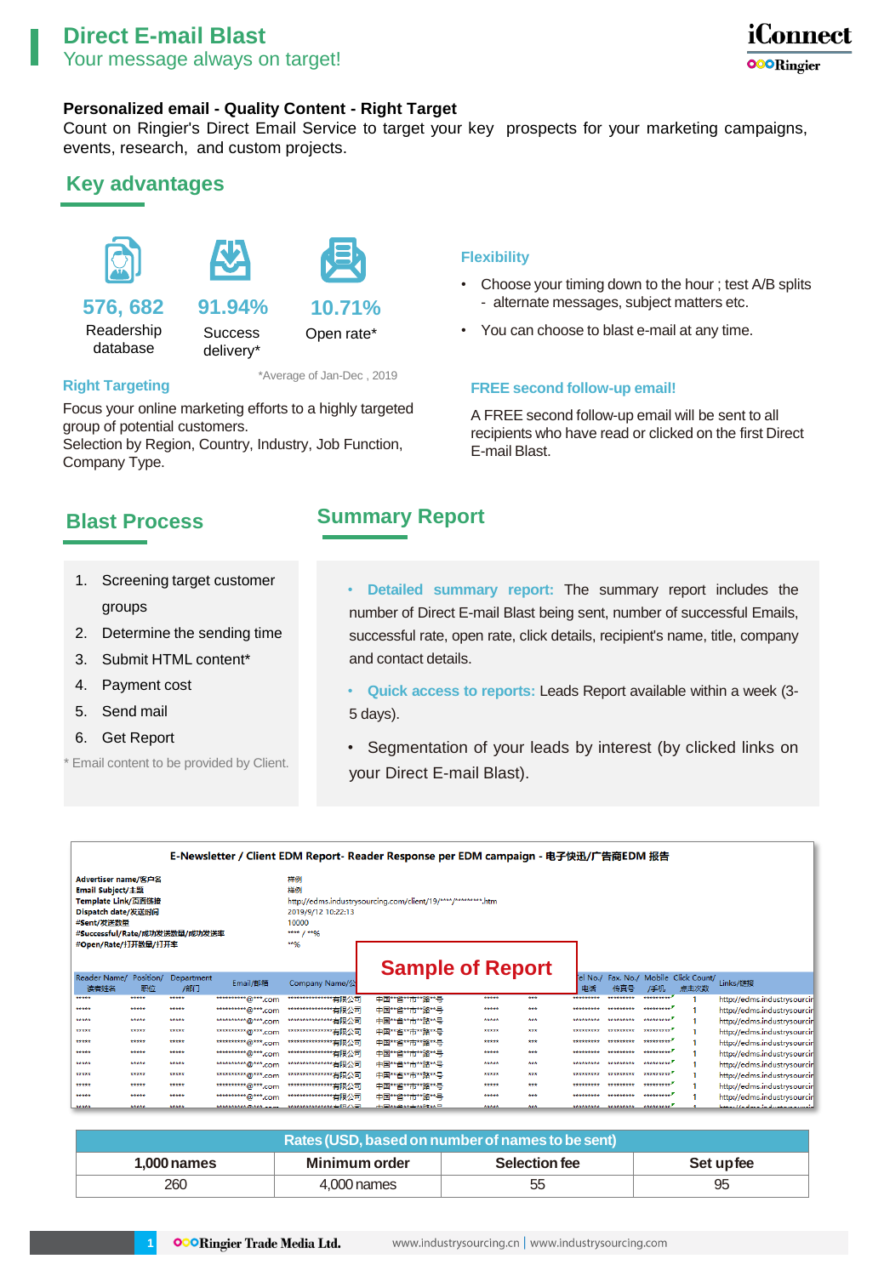

## **Personalized email - Quality Content - Right Target**

Count on Ringier's Direct Email Service to target your key prospects for your marketing campaigns, events, research, and custom projects.

## **Key advantages**





delivery\*

## **576, 682**

Readership database

**Success 91.94%**



\*Average of Jan-Dec , 2019

#### **Right Targeting**

Focus your online marketing efforts to a highly targeted group of potential customers.

Selection by Region, Country, Industry, Job Function, Company Type.

## **Flexibility**

- Choose your timing down to the hour ; test A/B splits - alternate messages, subject matters etc.
- Open rate\* You can choose to blast e-mail at any time.

### **FREE second follow-up email!**

A FREE second follow-up email will be sent to all recipients who have read or clicked on the first Direct E-mail Blast.

# **Blast Process**

**Summary Report**

and contact details.

- 1. Screening target customer groups
- 2. Determine the sending time
- 3. Submit HTML content\*
- 4. Payment cost
- 5. Send mail
- 6. Get Report
- Email content to be provided by Client.
- **Detailed summary report:** The summary report includes the number of Direct E-mail Blast being sent, number of successful Emails, successful rate, open rate, click details, recipient's name, title, company
- **Quick access to reports:** Leads Report available within a week (3- 5 days).
- Segmentation of your leads by interest (by clicked links on your Direct E-mail Blast).

| E-Newsletter / Client EDM Report- Reader Response per EDM campaign - 电子快迅/广告商EDM 报告                                                                                                                    |                 |                   |                           |                                                               |                         |       |     |               |                    |                         |                                       |                             |
|--------------------------------------------------------------------------------------------------------------------------------------------------------------------------------------------------------|-----------------|-------------------|---------------------------|---------------------------------------------------------------|-------------------------|-------|-----|---------------|--------------------|-------------------------|---------------------------------------|-----------------------------|
| 样例<br>Advertiser name/客户名<br>样例<br><b>Email Subject/主题</b><br>Template Link/页面链接<br>Dispatch date/发送时间<br>#Sent/发送数量<br>10000<br>#Successful/Rate/成功发送数量/成功发送率<br>**** $1$ **96<br>#Open/Rate/打开数量/打开率 |                 |                   | 2019/9/12 10:22:13<br>**% | http://edms.industrysourcing.com/client/19/****/*********.htm |                         |       |     |               |                    |                         |                                       |                             |
| Reader Name/<br>读者姓名                                                                                                                                                                                   | Position/<br>职位 | Department<br>/部门 | Email/邮箱                  | Company Name/公                                                | <b>Sample of Report</b> |       |     | el No./<br>电话 | 传真号                | /手机                     | Fax. No./ Mobile Click Count/<br>点击次数 | Links/链接                    |
| *****                                                                                                                                                                                                  | *****           | *****             | ************* @***.com    | *****************有限公司                                         | 中国**省**市**路**号          | ***** | *** | *********     | *********          | ********** <sup>*</sup> |                                       | http://edms.industrysourcin |
| *****                                                                                                                                                                                                  | *****           | *****             | ***********@***.com       | ****************有限公司                                          | 中国**省**市**路**号          | ***** | *** | *********     | *********          | *********               |                                       | http://edms.industrysourcin |
| *****                                                                                                                                                                                                  | *****           | *****             | **********@***.com        | *****************有限公司                                         | 中国**省**市**路**号          | ***** | *** | *********     | *********          | ********** <sup>1</sup> |                                       | http://edms.industrysourcin |
| *****                                                                                                                                                                                                  | *****           | *****             | ***********@***.com       | ****************有限公司                                          | 中国**省**市**路**号          | ***** | *** | *********     | *********          | ********** <sup>*</sup> |                                       | http://edms.industrysourcin |
| *****                                                                                                                                                                                                  | *****           | *****             | **********@***.com        | ****************有限公司                                          | 中国**省**市**路**号          | ***** | *** | *********     | *********          | **********              |                                       | http://edms.industrysourcin |
| *****                                                                                                                                                                                                  | *****           | *****             | ***********@***.com       | *****************有限公司                                         | 中国**省**市**路**号          | ***** | *** | *********     | *********          | **********              |                                       | http://edms.industrysourcin |
| *****                                                                                                                                                                                                  | *****           | *****             | ***********@***.com       | ****************有限公司                                          | 中国**省**市**路**号          | ***** | *** | *********     |                    | <b>NANARANA</b>         |                                       | http://edms.industrysourcin |
| *****                                                                                                                                                                                                  | *****           | *****             | ***********@***.com       | *****************有限公司                                         | 中国**省**市**路**号          | ***** | *** | *********     | *********          | **********              |                                       | http://edms.industrysourcin |
| *****                                                                                                                                                                                                  | *****           | *****             | ************@***.com      | *****************有限公司                                         | 中国**省**市**路**号          | ***** | *** | *********     | *********          | **********              |                                       | http://edms.industrysourcin |
| *****                                                                                                                                                                                                  | *****           | *****             | ***********@***.com       | ****************有限公司                                          | 中国**省**市**路**号          | ***** | *** | *********     |                    | **********              |                                       | http://edms.industrysourcin |
| *****                                                                                                                                                                                                  | *****           | *****             | $******m***m$             | **************** <b>右阳八日</b>                                  | <b>由国林省林素林岛林县</b>       | ***** | *** |               | ********* ******** | $********$              |                                       | http://admc.inductnicourcin |

| Rates (USD, based on number of names to be sent) |               |               |           |  |  |  |
|--------------------------------------------------|---------------|---------------|-----------|--|--|--|
| $1.000$ names                                    | Minimum order | Selection fee | Set upfee |  |  |  |
| 260                                              | 4.000 names   | 55            | 95        |  |  |  |

**1**